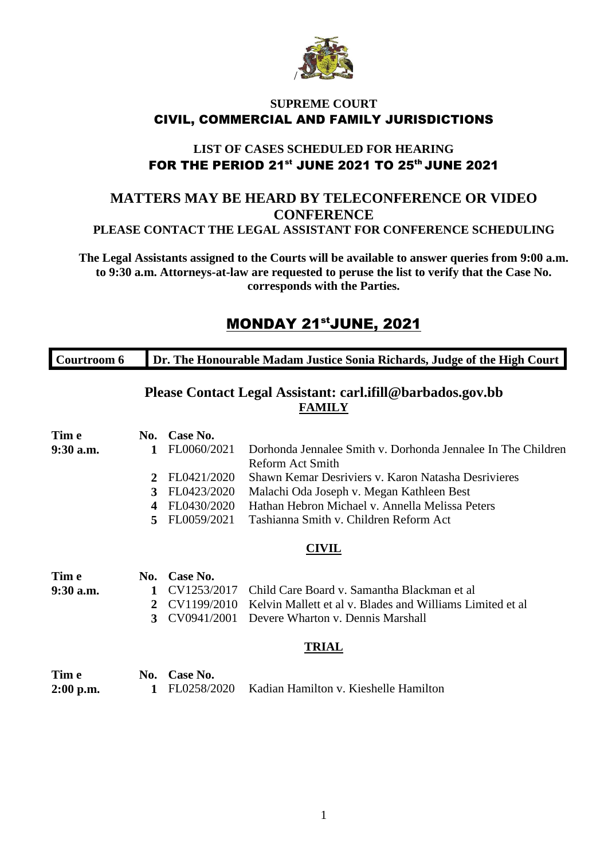

#### **SUPREME COURT** CIVIL, COMMERCIAL AND FAMILY JURISDICTIONS

### **LIST OF CASES SCHEDULED FOR HEARING** FOR THE PERIOD 21<sup>st</sup> JUNE 2021 TO 25<sup>th</sup> JUNE 2021

### **MATTERS MAY BE HEARD BY TELECONFERENCE OR VIDEO CONFERENCE PLEASE CONTACT THE LEGAL ASSISTANT FOR CONFERENCE SCHEDULING**

**The Legal Assistants assigned to the Courts will be available to answer queries from 9:00 a.m. to 9:30 a.m. Attorneys-at-law are requested to peruse the list to verify that the Case No. corresponds with the Parties.**

## MONDAY 21<sup>st</sup>JUNE, 2021

| Courtroom 6 | Dr. The Honourable Madam Justice Sonia Richards, Judge of the High Court |
|-------------|--------------------------------------------------------------------------|
|             |                                                                          |

## **Please Contact Legal Assistant: carl.ifill@barbados.gov.bb FAMILY**

| Tim e                |                  | No. Case No.                |                                                                       |
|----------------------|------------------|-----------------------------|-----------------------------------------------------------------------|
| 9:30 a.m.            | $\mathbf{1}$     | FL0060/2021                 | Dorhonda Jennalee Smith v. Dorhonda Jennalee In The Children          |
|                      |                  |                             | <b>Reform Act Smith</b>                                               |
|                      | 2                | FL0421/2020                 | Shawn Kemar Desriviers v. Karon Natasha Desrivieres                   |
|                      | 3                | FL0423/2020                 | Malachi Oda Joseph v. Megan Kathleen Best                             |
|                      | $\boldsymbol{4}$ | FL0430/2020                 | Hathan Hebron Michael v. Annella Melissa Peters                       |
|                      | 5.               | FL0059/2021                 | Tashianna Smith v. Children Reform Act                                |
|                      |                  |                             | <b>CIVIL</b>                                                          |
| Tim e                | No.              | Case No.                    |                                                                       |
| 9:30 a.m.            | $\mathbf{1}$     |                             | CV1253/2017 Child Care Board v. Samantha Blackman et al               |
|                      | 2                |                             | CV1199/2010 Kelvin Mallett et al v. Blades and Williams Limited et al |
|                      | 3                |                             | CV0941/2001 Devere Wharton v. Dennis Marshall                         |
|                      |                  |                             | <b>TRIAL</b>                                                          |
| Tim e<br>$2:00$ p.m. | $\mathbf 1$      | No. Case No.<br>FL0258/2020 | Kadian Hamilton v. Kieshelle Hamilton                                 |
|                      |                  |                             |                                                                       |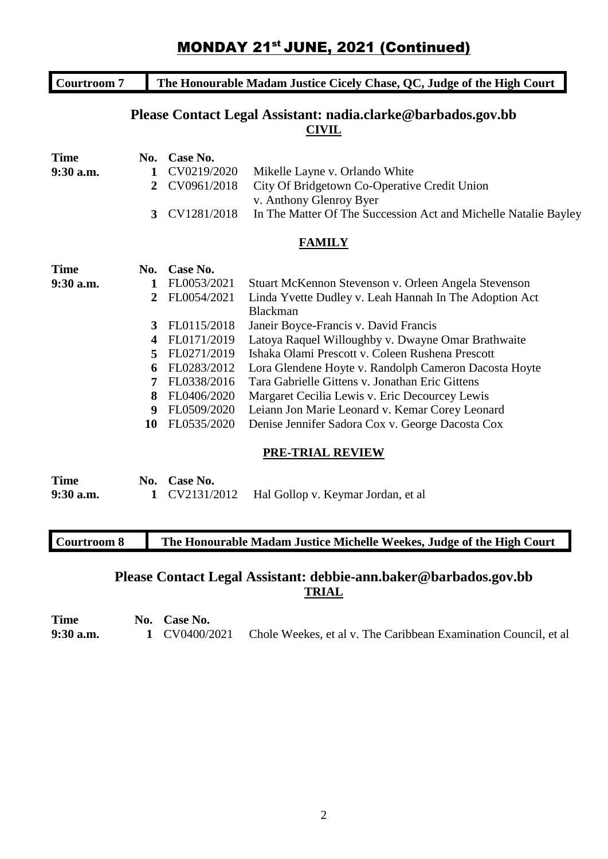| <b>Courtroom 7</b> |                |             | The Honourable Madam Justice Cicely Chase, QC, Judge of the High Court       |
|--------------------|----------------|-------------|------------------------------------------------------------------------------|
|                    |                |             | Please Contact Legal Assistant: nadia.clarke@barbados.gov.bb<br><b>CIVIL</b> |
| <b>Time</b>        | No.            | Case No.    |                                                                              |
| 9:30 a.m.          | 1              | CV0219/2020 | Mikelle Layne v. Orlando White                                               |
|                    | $\mathbf{2}$   | CV0961/2018 | City Of Bridgetown Co-Operative Credit Union<br>v. Anthony Glenroy Byer      |
|                    | $\mathbf{3}$   | CV1281/2018 | In The Matter Of The Succession Act and Michelle Natalie Bayley              |
|                    |                |             | <b>FAMILY</b>                                                                |
| <b>Time</b>        | No.            | Case No.    |                                                                              |
| $9:30$ a.m.        | 1              | FL0053/2021 | Stuart McKennon Stevenson v. Orleen Angela Stevenson                         |
|                    | $\overline{2}$ | FL0054/2021 | Linda Yvette Dudley v. Leah Hannah In The Adoption Act                       |
|                    |                |             | <b>Blackman</b>                                                              |
|                    | 3              | FL0115/2018 | Janeir Boyce-Francis v. David Francis                                        |
|                    | 4              | FL0171/2019 | Latoya Raquel Willoughby v. Dwayne Omar Brathwaite                           |
|                    | 5              | FL0271/2019 | Ishaka Olami Prescott v. Coleen Rushena Prescott                             |
|                    | 6              | FL0283/2012 | Lora Glendene Hoyte v. Randolph Cameron Dacosta Hoyte                        |
|                    | 7              | FL0338/2016 | Tara Gabrielle Gittens v. Jonathan Eric Gittens                              |
|                    | 8              | FL0406/2020 | Margaret Cecilia Lewis v. Eric Decourcey Lewis                               |
|                    | 9              | FL0509/2020 | Leiann Jon Marie Leonard v. Kemar Corey Leonard                              |
|                    | 10             | FL0535/2020 | Denise Jennifer Sadora Cox v. George Dacosta Cox                             |

#### **PRE-TRIAL REVIEW**

| <b>Time</b> | No. Case No. |                                                  |
|-------------|--------------|--------------------------------------------------|
| $9:30$ a.m. |              | 1 CV2131/2012 Hal Gollop v. Keymar Jordan, et al |

**Courtroom 8 The Honourable Madam Justice Michelle Weekes, Judge of the High Court**

## **Please Contact Legal Assistant: debbie-ann.baker@barbados.gov.bb TRIAL**

**Time No. Case No.**<br>**9:30 a.m. 1 CV0400/2 9:30 a.m. 1** CV0400/2021 Chole Weekes, et al v. The Caribbean Examination Council, et al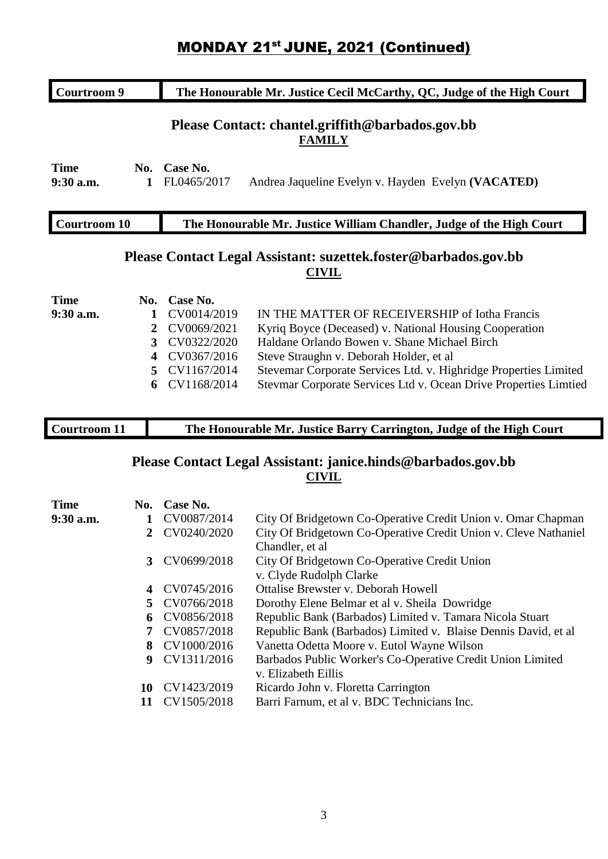## **MONDAY 21st JUNE, 2021 (Continued)**

| The Honourable Mr. Justice Cecil McCarthy, QC, Judge of the High Court<br>Courtroom 9 |                             |                                                                                 |
|---------------------------------------------------------------------------------------|-----------------------------|---------------------------------------------------------------------------------|
|                                                                                       |                             | Please Contact: chantel.griffith@barbados.gov.bb<br><b>FAMILY</b>               |
| <b>Time</b><br>$9:30$ a.m.<br>1                                                       | No. Case No.<br>FL0465/2017 | Andrea Jaqueline Evelyn v. Hayden Evelyn (VACATED)                              |
| <b>Courtroom 10</b>                                                                   |                             | The Honourable Mr. Justice William Chandler, Judge of the High Court            |
|                                                                                       |                             | Please Contact Legal Assistant: suzettek.foster@barbados.gov.bb<br><b>CIVIL</b> |
| <b>Time</b><br>No.                                                                    | Case No.                    |                                                                                 |
| 9:30 a.m.                                                                             | CV0014/2019<br>1            | IN THE MATTER OF RECEIVERSHIP of Iotha Francis                                  |
|                                                                                       | CV0069/2021<br>2            | Kyriq Boyce (Deceased) v. National Housing Cooperation                          |
|                                                                                       | CV0322/2020<br>3            | Haldane Orlando Bowen v. Shane Michael Birch                                    |
|                                                                                       | CV0367/2016<br>4            | Steve Straughn v. Deborah Holder, et al                                         |
|                                                                                       | CV1167/2014<br>5.           | Stevemar Corporate Services Ltd. v. Highridge Properties Limited                |
|                                                                                       | CV1168/2014<br>6            | Stevmar Corporate Services Ltd v. Ocean Drive Properties Limtied                |
|                                                                                       |                             |                                                                                 |
| <b>Courtroom 11</b>                                                                   |                             | The Honourable Mr. Justice Barry Carrington, Judge of the High Court            |

### **Please Contact Legal Assistant: janice.hinds@barbados.gov.bb CIVIL**

| <b>Time</b> |    | No. Case No.  |                                                                 |
|-------------|----|---------------|-----------------------------------------------------------------|
| $9:30$ a.m. |    | CV0087/2014   | City Of Bridgetown Co-Operative Credit Union v. Omar Chapman    |
|             | 2  | CV0240/2020   | City Of Bridgetown Co-Operative Credit Union v. Cleve Nathaniel |
|             |    |               | Chandler, et al.                                                |
|             |    | 3 CV0699/2018 | City Of Bridgetown Co-Operative Credit Union                    |
|             |    |               | v. Clyde Rudolph Clarke                                         |
|             |    | 4 CV0745/2016 | Ottalise Brewster v. Deborah Howell                             |
|             |    | 5 CV0766/2018 | Dorothy Elene Belmar et al v. Sheila Dowridge                   |
|             |    | 6 CV0856/2018 | Republic Bank (Barbados) Limited v. Tamara Nicola Stuart        |
|             | 7  | CV0857/2018   | Republic Bank (Barbados) Limited v. Blaise Dennis David, et al. |
|             |    | 8 CV1000/2016 | Vanetta Odetta Moore v. Eutol Wayne Wilson                      |
|             | 9  | CV1311/2016   | Barbados Public Worker's Co-Operative Credit Union Limited      |
|             |    |               | v. Elizabeth Eillis                                             |
|             | 10 | CV1423/2019   | Ricardo John v. Floretta Carrington                             |
|             |    | CV1505/2018   | Barri Farnum, et al v. BDC Technicians Inc.                     |
|             |    |               |                                                                 |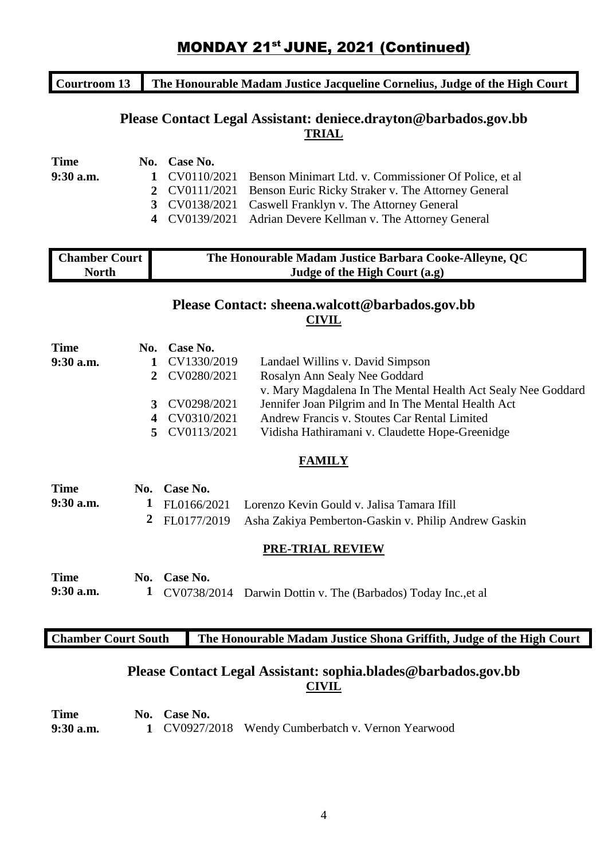## **MONDAY 21st JUNE, 2021 (Continued)**

### **Courtroom 13 The Honourable Madam Justice Jacqueline Cornelius, Judge of the High Court**

### **Please Contact Legal Assistant: deniece.drayton@barbados.gov.bb TRIAL**

| <b>Time</b> | No. Case No. |                                                                      |
|-------------|--------------|----------------------------------------------------------------------|
| $9:30$ a.m. |              | 1 CV0110/2021 Benson Minimart Ltd. v. Commissioner Of Police, et al. |
|             |              | 2 CV0111/2021 Benson Euric Ricky Straker v. The Attorney General     |
|             |              | 3 CV0138/2021 Caswell Franklyn v. The Attorney General               |
|             |              | 4 CV0139/2021 Adrian Devere Kellman v. The Attorney General          |

| <b>Chamber Court</b> | The Honourable Madam Justice Barbara Cooke-Alleyne, QC |
|----------------------|--------------------------------------------------------|
| North                | Judge of the High Court (a.g)                          |

#### **Please Contact: sheena.walcott@barbados.gov.bb CIVIL**

| <b>Time</b> |   | No. Case No.  |                                                              |
|-------------|---|---------------|--------------------------------------------------------------|
| 9:30 a.m.   | 1 | CV1330/2019   | Landael Willins v. David Simpson                             |
|             |   | 2 CV0280/2021 | Rosalyn Ann Sealy Nee Goddard                                |
|             |   |               | v. Mary Magdalena In The Mental Health Act Sealy Nee Goddard |
|             |   | 3 CV0298/2021 | Jennifer Joan Pilgrim and In The Mental Health Act           |
|             |   | 4 CV0310/2021 | Andrew Francis v. Stoutes Car Rental Limited                 |
|             |   | 5 CV0113/2021 | Vidisha Hathiramani v. Claudette Hope-Greenidge              |
|             |   |               |                                                              |

#### **FAMILY**

| <b>Time</b> | No. Case No. |                                                                    |
|-------------|--------------|--------------------------------------------------------------------|
| $9:30$ a.m. |              | 1 FL0166/2021 Lorenzo Kevin Gould v. Jalisa Tamara Ifill           |
|             |              | 2 FL0177/2019 Asha Zakiya Pemberton-Gaskin v. Philip Andrew Gaskin |

#### **PRE-TRIAL REVIEW**

| <b>Time</b> | No. Case No. |                                                                 |
|-------------|--------------|-----------------------------------------------------------------|
| $9:30$ a.m. |              | 1 CV0738/2014 Darwin Dottin v. The (Barbados) Today Inc., et al |

#### **Chamber Court South The Honourable Madam Justice Shona Griffith, Judge of the High Court**

## **Please Contact Legal Assistant: sophia.blades@barbados.gov.bb CIVIL**

| <b>Time</b> | No. Case No. |                                                    |
|-------------|--------------|----------------------------------------------------|
| 9:30 a.m.   |              | 1 CV0927/2018 Wendy Cumberbatch v. Vernon Yearwood |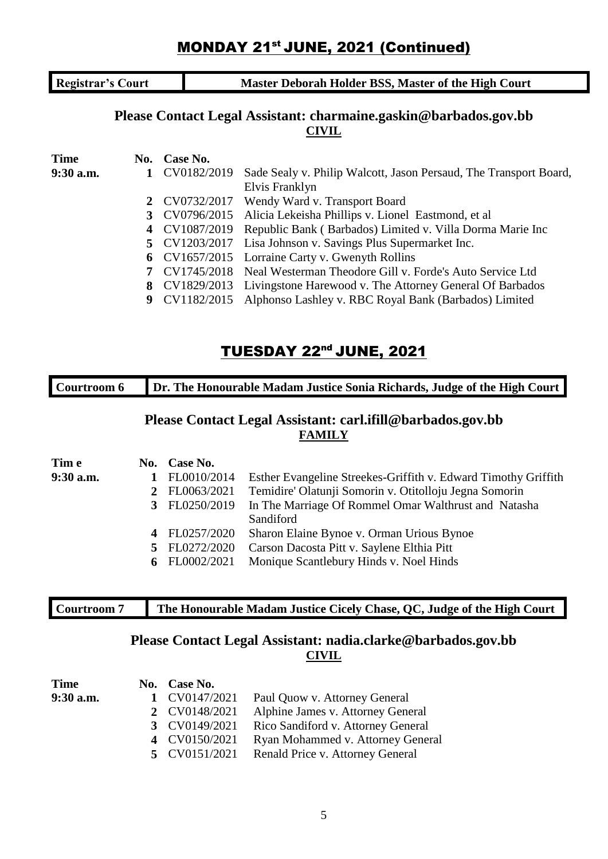## **MONDAY 21st JUNE, 2021 (Continued)**

**Registrar's Court Master Deborah Holder BSS, Master of the High Court** 

## **Please Contact Legal Assistant: charmaine.gaskin@barbados.gov.bb CIVIL**

| <b>Time</b> | No. Case No.  |                                                                        |
|-------------|---------------|------------------------------------------------------------------------|
| 9:30 a.m.   | CV0182/2019   | Sade Sealy v. Philip Walcott, Jason Persaud, The Transport Board,      |
|             |               | Elvis Franklyn                                                         |
|             |               | 2 CV0732/2017 Wendy Ward v. Transport Board                            |
|             |               | 3 CV0796/2015 Alicia Lekeisha Phillips v. Lionel Eastmond, et al       |
|             | 4 CV1087/2019 | Republic Bank (Barbados) Limited v. Villa Dorma Marie Inc              |
|             |               | 5 CV1203/2017 Lisa Johnson v. Savings Plus Supermarket Inc.            |
|             |               | 6 CV1657/2015 Lorraine Carty v. Gwenyth Rollins                        |
|             |               | 7 CV1745/2018 Neal Westerman Theodore Gill v. Forde's Auto Service Ltd |
|             |               | 8 CV1829/2013 Livingstone Harewood v. The Attorney General Of Barbados |
|             |               | 9 CV1182/2015 Alphonso Lashley v. RBC Royal Bank (Barbados) Limited    |

## TUESDAY 22nd JUNE, 2021

| Courtroom 6 | Dr. The Honourable Madam Justice Sonia Richards, Judge of the High Court |             |                                                                             |
|-------------|--------------------------------------------------------------------------|-------------|-----------------------------------------------------------------------------|
|             |                                                                          |             | Please Contact Legal Assistant: carl.ifill@barbados.gov.bb<br><b>FAMILY</b> |
| Tim e       | No.                                                                      | Case No.    |                                                                             |
| $9:30$ a.m. |                                                                          | FL0010/2014 | Esther Evangeline Streekes-Griffith v. Edward Timothy Griffith              |
|             | 2                                                                        | FL0063/2021 | Temidire' Olatunji Somorin v. Otitolloju Jegna Somorin                      |
|             |                                                                          | FL0250/2019 | In The Marriage Of Rommel Omar Walthrust and Natasha                        |
|             |                                                                          |             | Sandiford                                                                   |
|             |                                                                          | FL0257/2020 | Sharon Elaine Bynoe v. Orman Urious Bynoe                                   |
|             |                                                                          | FL0272/2020 | Carson Dacosta Pitt v. Saylene Elthia Pitt                                  |
|             | 6                                                                        | FL0002/2021 | Monique Scantlebury Hinds v. Noel Hinds                                     |

| Courtroom |  |
|-----------|--|
|           |  |

### **he Honourable Madam Justice Cicely Chase, QC, Judge of the High Court**

### **Please Contact Legal Assistant: nadia.clarke@barbados.gov.bb CIVIL**

| Time      | No. Case No.  |                                    |
|-----------|---------------|------------------------------------|
| 9:30 a.m. | 1 CV0147/2021 | Paul Quow v. Attorney General      |
|           | 2 CV0148/2021 | Alphine James v. Attorney General  |
|           | 3 CV0149/2021 | Rico Sandiford v. Attorney General |
|           | 4 CV0150/2021 | Ryan Mohammed v. Attorney General  |
|           | 5 CV0151/2021 | Renald Price v. Attorney General   |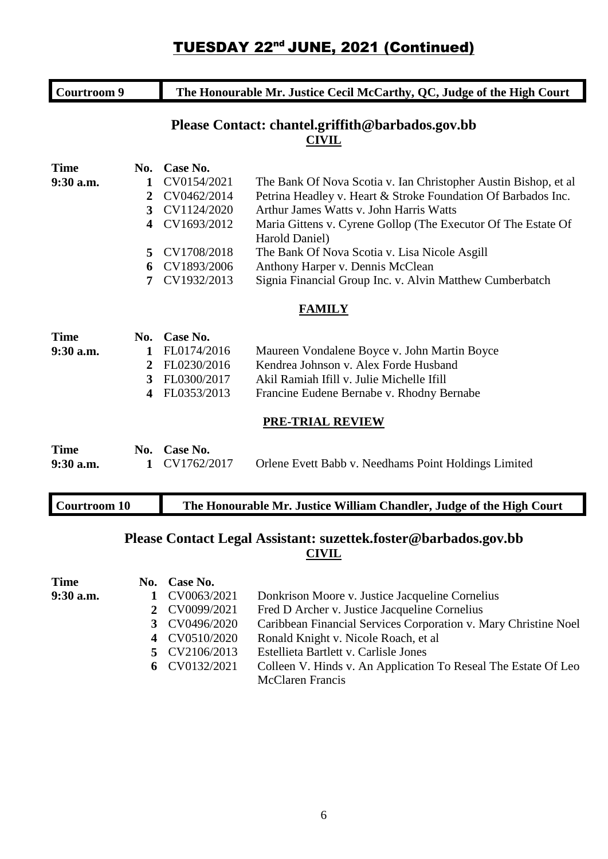| <b>Courtroom 9</b>       |                |                         | The Honourable Mr. Justice Cecil McCarthy, QC, Judge of the High Court |
|--------------------------|----------------|-------------------------|------------------------------------------------------------------------|
|                          |                |                         | Please Contact: chantel.griffith@barbados.gov.bb<br><b>CIVIL</b>       |
| <b>Time</b>              | No.            | Case No.                |                                                                        |
| 9:30 a.m.                | 1              | CV0154/2021             | The Bank Of Nova Scotia v. Ian Christopher Austin Bishop, et al        |
|                          | $\overline{2}$ | CV0462/2014             | Petrina Headley v. Heart & Stroke Foundation Of Barbados Inc.          |
|                          | 3              | CV1124/2020             | Arthur James Watts v. John Harris Watts                                |
|                          | 4              | CV1693/2012             | Maria Gittens v. Cyrene Gollop (The Executor Of The Estate Of          |
|                          |                |                         | Harold Daniel)                                                         |
|                          | 5              | CV1708/2018             | The Bank Of Nova Scotia v. Lisa Nicole Asgill                          |
|                          | 6              | CV1893/2006             | Anthony Harper v. Dennis McClean                                       |
|                          | 7              | CV1932/2013             | Signia Financial Group Inc. v. Alvin Matthew Cumberbatch               |
|                          |                |                         | <b>FAMILY</b>                                                          |
| <b>Time</b>              | No.            | Case No.                |                                                                        |
| 9:30 a.m.                | 1              | FL0174/2016             | Maureen Vondalene Boyce v. John Martin Boyce                           |
|                          | $\overline{2}$ | FL0230/2016             | Kendrea Johnson v. Alex Forde Husband                                  |
|                          | 3              | FL0300/2017             | Akil Ramiah Ifill v. Julie Michelle Ifill                              |
|                          | 4              | FL0353/2013             | Francine Eudene Bernabe v. Rhodny Bernabe                              |
|                          |                |                         | <b>PRE-TRIAL REVIEW</b>                                                |
| <b>Time</b><br>9:30 a.m. | No.<br>1       | Case No.<br>CV1762/2017 | Orlene Evett Babb v. Needhams Point Holdings Limited                   |
| <b>Courtroom 10</b>      |                |                         | The Honourable Mr. Justice William Chandler, Judge of the High Court   |

### **Please Contact Legal Assistant: suzettek.foster@barbados.gov.bb CIVIL**

| <b>Time</b> | No. Case No.  |                                                                 |
|-------------|---------------|-----------------------------------------------------------------|
| 9:30 a.m.   | CV0063/2021   | Donkrison Moore v. Justice Jacqueline Cornelius                 |
|             | 2 CV0099/2021 | Fred D Archer v. Justice Jacqueline Cornelius                   |
|             | 3 CV0496/2020 | Caribbean Financial Services Corporation v. Mary Christine Noel |
|             | 4 CV0510/2020 | Ronald Knight v. Nicole Roach, et al.                           |
|             | 5 CV2106/2013 | Estellieta Bartlett v. Carlisle Jones                           |
|             | 6 CV0132/2021 | Colleen V. Hinds v. An Application To Reseal The Estate Of Leo  |
|             |               | <b>McClaren Francis</b>                                         |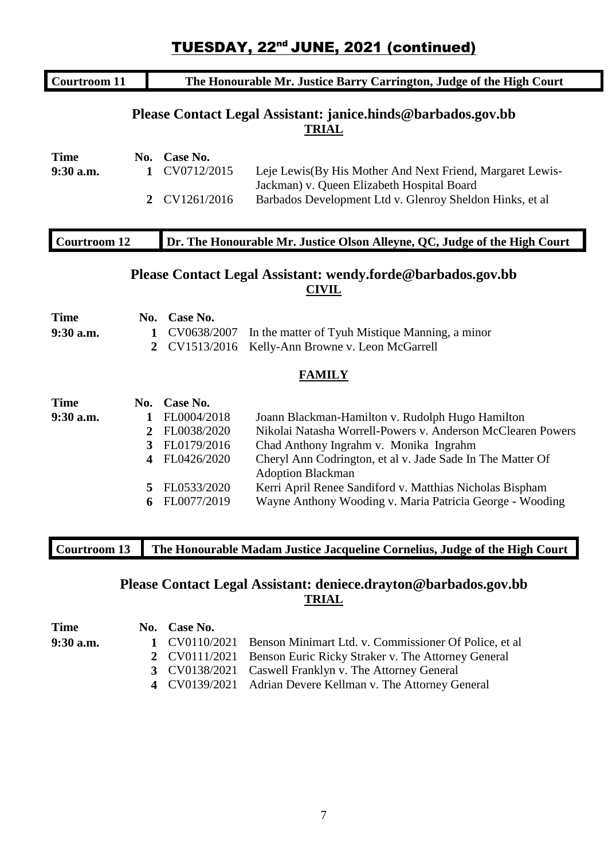| <b>Courtroom 11</b>      |                         |                            | The Honourable Mr. Justice Barry Carrington, Judge of the High Court                                    |
|--------------------------|-------------------------|----------------------------|---------------------------------------------------------------------------------------------------------|
|                          |                         |                            | Please Contact Legal Assistant: janice.hinds@barbados.gov.bb<br><u>TRIAL</u>                            |
| <b>Time</b><br>9:30 a.m. | No.<br>1                | Case No.<br>CV0712/2015    | Leje Lewis(By His Mother And Next Friend, Margaret Lewis-<br>Jackman) v. Queen Elizabeth Hospital Board |
|                          | $\overline{2}$          | CV1261/2016                | Barbados Development Ltd v. Glenroy Sheldon Hinks, et al                                                |
| <b>Courtroom 12</b>      |                         |                            | Dr. The Honourable Mr. Justice Olson Alleyne, QC, Judge of the High Court                               |
|                          |                         |                            | Please Contact Legal Assistant: wendy.forde@barbados.gov.bb<br><b>CIVIL</b>                             |
|                          |                         |                            |                                                                                                         |
| <b>Time</b>              | No.                     | Case No.                   |                                                                                                         |
| 9:30 a.m.                | 1<br>$\overline{2}$     | CV0638/2007<br>CV1513/2016 | In the matter of Tyuh Mistique Manning, a minor<br>Kelly-Ann Browne v. Leon McGarrell                   |
|                          |                         |                            | <b>FAMILY</b>                                                                                           |
| <b>Time</b>              |                         | No. Case No.               |                                                                                                         |
| 9:30 a.m.                | 1                       | FL0004/2018                | Joann Blackman-Hamilton v. Rudolph Hugo Hamilton                                                        |
|                          | $\overline{2}$          | FL0038/2020                | Nikolai Natasha Worrell-Powers v. Anderson McClearen Powers                                             |
|                          | $\overline{3}$          | FL0179/2016                | Chad Anthony Ingrahm v. Monika Ingrahm                                                                  |
|                          | $\overline{\mathbf{4}}$ | FL0426/2020                | Cheryl Ann Codrington, et al v. Jade Sade In The Matter Of<br><b>Adoption Blackman</b>                  |
|                          | 5                       | FL0533/2020                | Kerri April Renee Sandiford v. Matthias Nicholas Bispham                                                |

## **Please Contact Legal Assistant: deniece.drayton@barbados.gov.bb TRIAL**

| <b>Time</b> | No. Case No. |                                                                      |
|-------------|--------------|----------------------------------------------------------------------|
| $9:30$ a.m. |              | 1 CV0110/2021 Benson Minimart Ltd. v. Commissioner Of Police, et al. |
|             |              | 2 CV0111/2021 Benson Euric Ricky Straker v. The Attorney General     |
|             |              | 3 CV0138/2021 Caswell Franklyn v. The Attorney General               |
|             |              | 4 CV0139/2021 Adrian Devere Kellman v. The Attorney General          |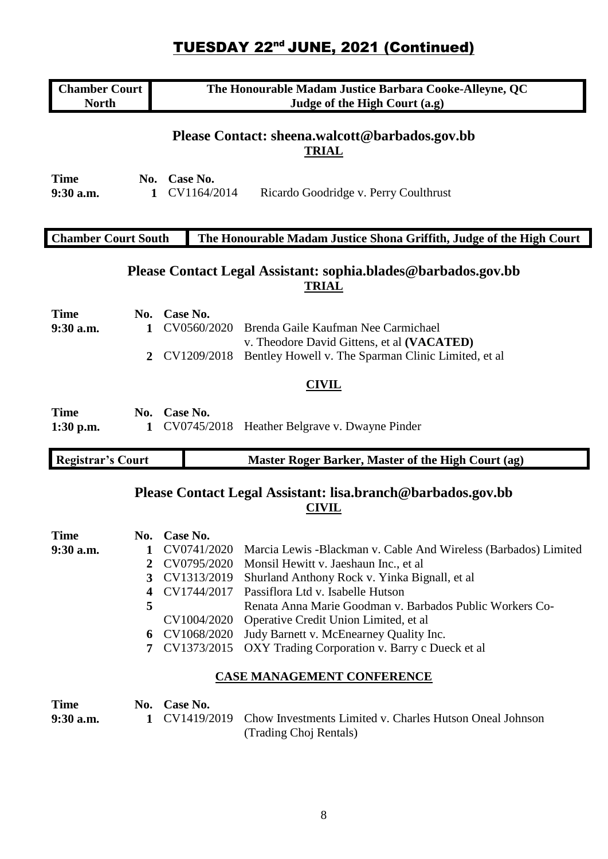| <b>Chamber Court</b><br><b>North</b> |                                        |                                                                                                                   | The Honourable Madam Justice Barbara Cooke-Alleyne, QC<br>Judge of the High Court (a.g)                                                                                                                                                                                                                                                                                                           |
|--------------------------------------|----------------------------------------|-------------------------------------------------------------------------------------------------------------------|---------------------------------------------------------------------------------------------------------------------------------------------------------------------------------------------------------------------------------------------------------------------------------------------------------------------------------------------------------------------------------------------------|
| <b>Time</b><br>$9:30$ a.m.           | 1                                      | No. Case No.<br>CV1164/2014                                                                                       | Please Contact: sheena.walcott@barbados.gov.bb<br><b>TRIAL</b><br>Ricardo Goodridge v. Perry Coulthrust                                                                                                                                                                                                                                                                                           |
|                                      |                                        |                                                                                                                   |                                                                                                                                                                                                                                                                                                                                                                                                   |
| <b>Chamber Court South</b>           |                                        |                                                                                                                   | The Honourable Madam Justice Shona Griffith, Judge of the High Court                                                                                                                                                                                                                                                                                                                              |
|                                      |                                        |                                                                                                                   | Please Contact Legal Assistant: sophia.blades@barbados.gov.bb<br><b>TRIAL</b>                                                                                                                                                                                                                                                                                                                     |
| <b>Time</b>                          | No.                                    | Case No.                                                                                                          |                                                                                                                                                                                                                                                                                                                                                                                                   |
| 9:30 a.m.                            | 1                                      | CV0560/2020                                                                                                       | Brenda Gaile Kaufman Nee Carmichael<br>v. Theodore David Gittens, et al (VACATED)                                                                                                                                                                                                                                                                                                                 |
|                                      | 2                                      | CV1209/2018                                                                                                       | Bentley Howell v. The Sparman Clinic Limited, et al.                                                                                                                                                                                                                                                                                                                                              |
|                                      |                                        |                                                                                                                   | <b>CIVIL</b>                                                                                                                                                                                                                                                                                                                                                                                      |
| <b>Time</b><br>$1:30$ p.m.           | 1                                      | No. Case No.                                                                                                      | CV0745/2018 Heather Belgrave v. Dwayne Pinder                                                                                                                                                                                                                                                                                                                                                     |
| <b>Registrar's Court</b>             |                                        |                                                                                                                   | Master Roger Barker, Master of the High Court (ag)                                                                                                                                                                                                                                                                                                                                                |
|                                      |                                        |                                                                                                                   | Please Contact Legal Assistant: lisa.branch@barbados.gov.bb<br><b>CIVIL</b>                                                                                                                                                                                                                                                                                                                       |
| <b>Time</b><br>$9:30$ a.m.           | No.<br>1<br>2<br>3<br>4<br>5<br>6<br>7 | Case No.<br>CV0741/2020<br>CV0795/2020<br>CV1313/2019<br>CV1744/2017<br>CV1004/2020<br>CV1068/2020<br>CV1373/2015 | Marcia Lewis - Blackman v. Cable And Wireless (Barbados) Limited<br>Monsil Hewitt v. Jaeshaun Inc., et al<br>Shurland Anthony Rock v. Yinka Bignall, et al<br>Passiflora Ltd v. Isabelle Hutson<br>Renata Anna Marie Goodman v. Barbados Public Workers Co-<br>Operative Credit Union Limited, et al<br>Judy Barnett v. McEnearney Quality Inc.<br>OXY Trading Corporation v. Barry c Dueck et al |
|                                      |                                        |                                                                                                                   | <b>CASE MANAGEMENT CONFERENCE</b>                                                                                                                                                                                                                                                                                                                                                                 |
| <b>Time</b><br>$9:30$ a.m.           | 1                                      | No. Case No.<br>CV1419/2019                                                                                       | Chow Investments Limited v. Charles Hutson Oneal Johnson<br>(Trading Choj Rentals)                                                                                                                                                                                                                                                                                                                |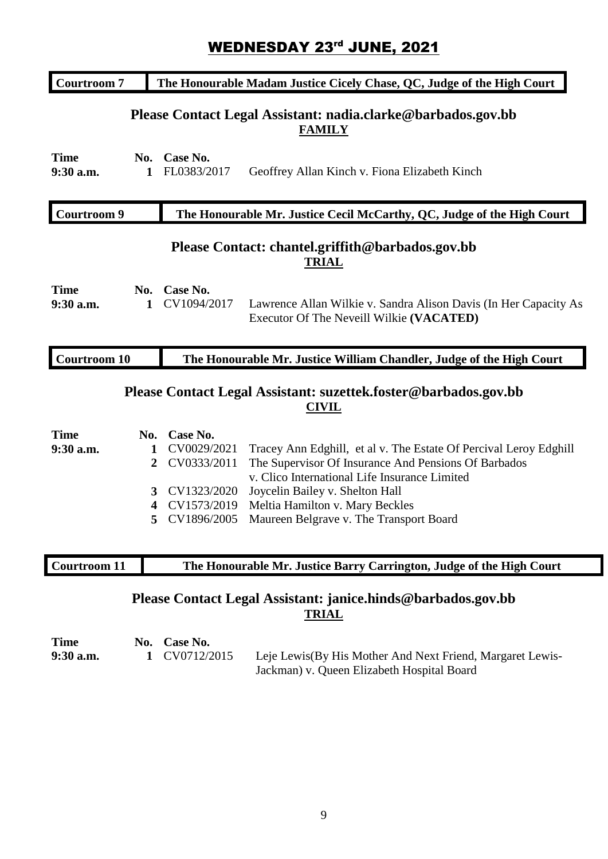## WEDNESDAY 23rd JUNE, 2021

| <b>Courtroom 7</b>                                                                           |                                | The Honourable Madam Justice Cicely Chase, QC, Judge of the High Court |                                                                                                                                                                            |  |
|----------------------------------------------------------------------------------------------|--------------------------------|------------------------------------------------------------------------|----------------------------------------------------------------------------------------------------------------------------------------------------------------------------|--|
|                                                                                              |                                |                                                                        | Please Contact Legal Assistant: nadia.clarke@barbados.gov.bb<br><b>FAMILY</b>                                                                                              |  |
| <b>Time</b><br>9:30 a.m.                                                                     | No.<br>1                       | Case No.<br>FL0383/2017                                                | Geoffrey Allan Kinch v. Fiona Elizabeth Kinch                                                                                                                              |  |
| <b>Courtroom 9</b><br>The Honourable Mr. Justice Cecil McCarthy, QC, Judge of the High Court |                                |                                                                        |                                                                                                                                                                            |  |
|                                                                                              |                                |                                                                        | Please Contact: chantel.griffith@barbados.gov.bb<br><b>TRIAL</b>                                                                                                           |  |
| <b>Time</b><br>9:30 a.m.                                                                     | No.<br>$\mathbf{1}$            | Case No.<br>CV1094/2017                                                | Lawrence Allan Wilkie v. Sandra Alison Davis (In Her Capacity As<br>Executor Of The Neveill Wilkie (VACATED)                                                               |  |
|                                                                                              |                                |                                                                        |                                                                                                                                                                            |  |
| <b>Courtroom 10</b>                                                                          |                                |                                                                        | The Honourable Mr. Justice William Chandler, Judge of the High Court                                                                                                       |  |
|                                                                                              |                                |                                                                        | Please Contact Legal Assistant: suzettek.foster@barbados.gov.bb<br><b>CIVIL</b>                                                                                            |  |
|                                                                                              |                                |                                                                        |                                                                                                                                                                            |  |
| <b>Time</b>                                                                                  |                                | No. Case No.                                                           |                                                                                                                                                                            |  |
| 9:30 a.m.                                                                                    | $\mathbf{1}$<br>$\overline{2}$ | CV0029/2021<br>CV0333/2011                                             | Tracey Ann Edghill, et al v. The Estate Of Percival Leroy Edghill<br>The Supervisor Of Insurance And Pensions Of Barbados<br>v. Clico International Life Insurance Limited |  |
|                                                                                              | 3                              | CV1323/2020                                                            | Joycelin Bailey v. Shelton Hall                                                                                                                                            |  |
|                                                                                              | $\overline{\mathbf{4}}$        | CV1573/2019                                                            | Meltia Hamilton v. Mary Beckles                                                                                                                                            |  |
|                                                                                              | 5                              | CV1896/2005                                                            | Maureen Belgrave v. The Transport Board                                                                                                                                    |  |
| Courtroom 11                                                                                 |                                |                                                                        | The Honourable Mr. Justice Barry Carrington, Judge of the High Court                                                                                                       |  |

## **Please Contact Legal Assistant: janice.hinds@barbados.gov.bb TRIAL**

| <b>Time</b> | No. Case No.  |                                                                                                          |
|-------------|---------------|----------------------------------------------------------------------------------------------------------|
| $9:30$ a.m. | 1 CV0712/2015 | Leje Lewis (By His Mother And Next Friend, Margaret Lewis-<br>Jackman) v. Queen Elizabeth Hospital Board |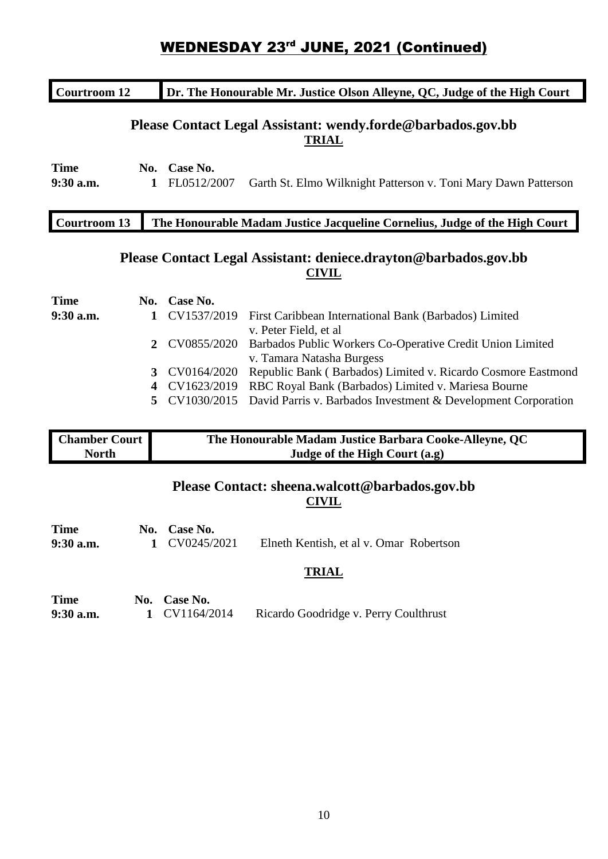## **WEDNESDAY 23<sup>rd</sup> JUNE, 2021 (Continued)**

| <b>Courtroom 12</b>      |              |                         | Dr. The Honourable Mr. Justice Olson Alleyne, QC, Judge of the High Court              |
|--------------------------|--------------|-------------------------|----------------------------------------------------------------------------------------|
|                          |              |                         | Please Contact Legal Assistant: wendy.forde@barbados.gov.bb<br><b>TRIAL</b>            |
| <b>Time</b><br>9:30 a.m. | No.<br>1     | Case No.<br>FL0512/2007 | Garth St. Elmo Wilknight Patterson v. Toni Mary Dawn Patterson                         |
| <b>Courtroom 13</b>      |              |                         | The Honourable Madam Justice Jacqueline Cornelius, Judge of the High Court             |
|                          |              |                         | Please Contact Legal Assistant: deniece.drayton@barbados.gov.bb<br><b>CIVIL</b>        |
| <b>Time</b>              | No.          | Case No.                |                                                                                        |
| 9:30 a.m.                | 1            | CV1537/2019             | First Caribbean International Bank (Barbados) Limited<br>v. Peter Field, et al         |
|                          | $\mathbf{2}$ | CV0855/2020             | Barbados Public Workers Co-Operative Credit Union Limited<br>v. Tamara Natasha Burgess |
|                          | 3            | CV0164/2020             | Republic Bank (Barbados) Limited v. Ricardo Cosmore Eastmond                           |
|                          | 4            | CV1623/2019             | RBC Royal Bank (Barbados) Limited v. Mariesa Bourne                                    |

**5** CV1030/2015 David Parris v. Barbados Investment & Development Corporation

| <b>Chamber Court</b> | The Honourable Madam Justice Barbara Cooke-Alleyne, QC |
|----------------------|--------------------------------------------------------|
| <b>North</b>         | Judge of the High Court (a.g)                          |

### **Please Contact: sheena.walcott@barbados.gov.bb CIVIL**

| <b>Time</b><br>$9:30$ a.m. | No. Case No.<br>1 CV0245/2021 | Elneth Kentish, et al v. Omar Robertson |  |
|----------------------------|-------------------------------|-----------------------------------------|--|
|                            |                               | <b>TRIAL</b>                            |  |

| <b>Time</b> | No. Case No.  |                                       |
|-------------|---------------|---------------------------------------|
| $9:30$ a.m. | 1 CV1164/2014 | Ricardo Goodridge v. Perry Coulthrust |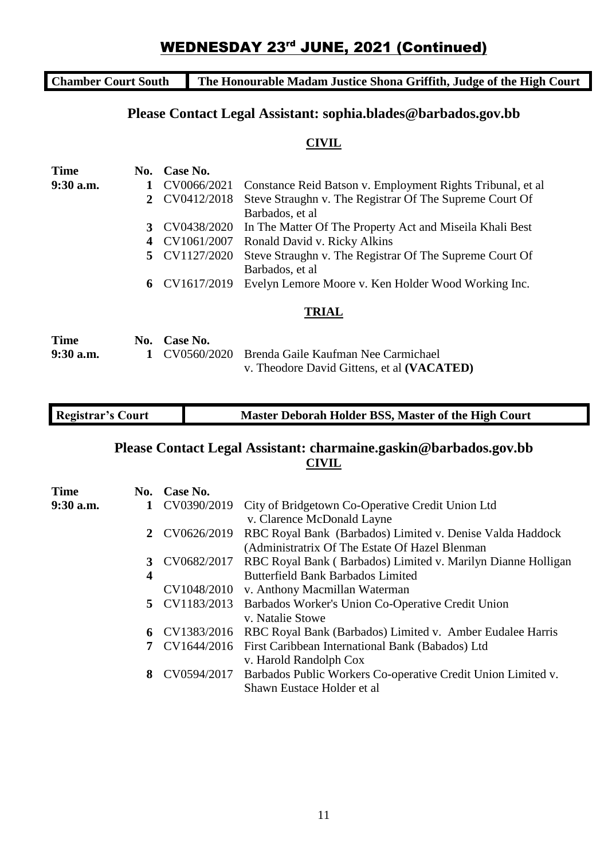## **WEDNESDAY 23<sup>rd</sup> JUNE, 2021 (Continued)**

**Chamber Court South The Honourable Madam Justice Shona Griffith, Judge of the High Court**

### **Please Contact Legal Assistant: sophia.blades@barbados.gov.bb**

#### **CIVIL**

| <b>Time</b> | No. | Case No.      |                                                             |
|-------------|-----|---------------|-------------------------------------------------------------|
| $9:30$ a.m. | 1   | CV0066/2021   | Constance Reid Batson v. Employment Rights Tribunal, et al. |
|             | 2   | CV0412/2018   | Steve Straughn v. The Registrar Of The Supreme Court Of     |
|             |     |               | Barbados, et al.                                            |
|             | 3   | CV0438/2020   | In The Matter Of The Property Act and Miseila Khali Best    |
|             | 4   | CV1061/2007   | Ronald David v. Ricky Alkins                                |
|             |     | 5 CV1127/2020 | Steve Straughn v. The Registrar Of The Supreme Court Of     |
|             |     |               | Barbados, et al.                                            |
|             |     | 6 CV1617/2019 | Evelyn Lemore Moore v. Ken Holder Wood Working Inc.         |
|             |     |               | <b>TRIAL</b>                                                |
| <b>Time</b> | No. | Case No.      |                                                             |
| $9:30$ a.m. | 1   | CV0560/2020   | Brenda Gaile Kaufman Nee Carmichael                         |
|             |     |               | v. Theodore David Gittens, et al (VACATED)                  |

| <b>Registrar's Court</b> | Master Deborah Holder BSS, Master of the High Court |
|--------------------------|-----------------------------------------------------|
|                          |                                                     |

## **Please Contact Legal Assistant: charmaine.gaskin@barbados.gov.bb CIVIL**

|   | CV0390/2019 | City of Bridgetown Co-Operative Credit Union Ltd                      |
|---|-------------|-----------------------------------------------------------------------|
|   |             | v. Clarence McDonald Layne                                            |
| 2 | CV0626/2019 | RBC Royal Bank (Barbados) Limited v. Denise Valda Haddock             |
|   |             | (Administratrix Of The Estate Of Hazel Blenman)                       |
| 3 | CV0682/2017 | RBC Royal Bank (Barbados) Limited v. Marilyn Dianne Holligan          |
| 4 |             | <b>Butterfield Bank Barbados Limited</b>                              |
|   |             | v. Anthony Macmillan Waterman                                         |
|   |             | 5 CV1183/2013 Barbados Worker's Union Co-Operative Credit Union       |
|   |             | v. Natalie Stowe                                                      |
| 6 |             | CV1383/2016 RBC Royal Bank (Barbados) Limited v. Amber Eudalee Harris |
|   |             | CV1644/2016 First Caribbean International Bank (Babados) Ltd          |
|   |             | v. Harold Randolph Cox                                                |
| 8 | CV0594/2017 | Barbados Public Workers Co-operative Credit Union Limited v.          |
|   |             | Shawn Eustace Holder et al                                            |
|   |             | No. Case No.<br>CV1048/2010                                           |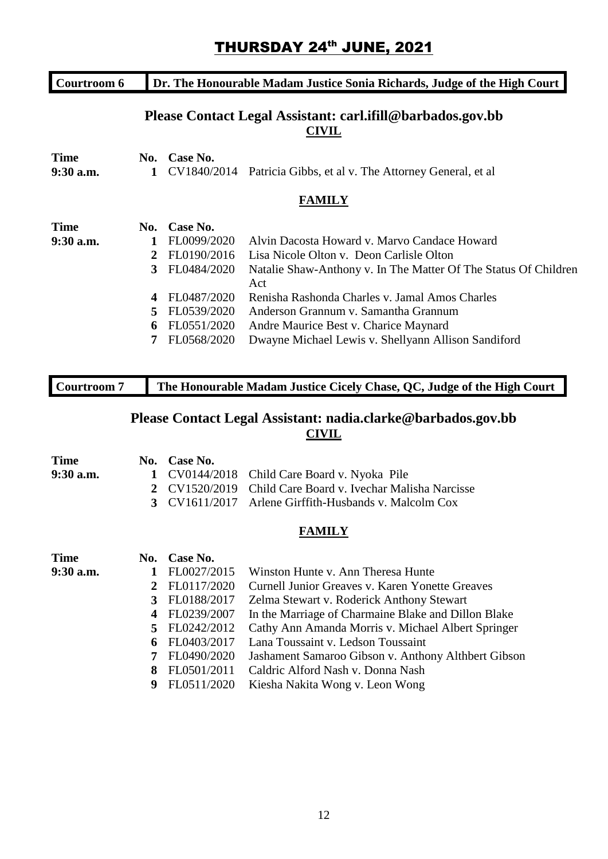## THURSDAY 24<sup>th</sup> JUNE, 2021

| Courtroom 6 | Dr. The Honourable Madam Justice Sonia Richards, Judge of the High Court |             |                                                                            |  |
|-------------|--------------------------------------------------------------------------|-------------|----------------------------------------------------------------------------|--|
|             |                                                                          |             | Please Contact Legal Assistant: carl.ifill@barbados.gov.bb<br><b>CIVIL</b> |  |
| <b>Time</b> | No.                                                                      | Case No.    |                                                                            |  |
| $9:30$ a.m. | 1                                                                        |             | CV1840/2014 Patricia Gibbs, et al v. The Attorney General, et al           |  |
|             |                                                                          |             | <b>FAMILY</b>                                                              |  |
| <b>Time</b> | No.                                                                      | Case No.    |                                                                            |  |
| $9:30$ a.m. | 1                                                                        | FL0099/2020 | Alvin Dacosta Howard v. Marvo Candace Howard                               |  |
|             | 2                                                                        | FL0190/2016 | Lisa Nicole Olton v. Deon Carlisle Olton                                   |  |
|             | 3                                                                        | FL0484/2020 | Natalie Shaw-Anthony v. In The Matter Of The Status Of Children<br>Act     |  |
|             | 4                                                                        | FL0487/2020 | Renisha Rashonda Charles v. Jamal Amos Charles                             |  |
|             | 5                                                                        | FL0539/2020 | Anderson Grannum v. Samantha Grannum                                       |  |
|             | 6                                                                        | FL0551/2020 | Andre Maurice Best v. Charice Maynard                                      |  |
|             |                                                                          | FL0568/2020 | Dwayne Michael Lewis v. Shellyann Allison Sandiford                        |  |

| Courtroom 7 | The Honourable Madam Justice Cicely Chase, QC, Judge of the High Court |
|-------------|------------------------------------------------------------------------|

## **Please Contact Legal Assistant: nadia.clarke@barbados.gov.bb CIVIL**

| <b>Time</b> | No. | Case No.    |                                                     |
|-------------|-----|-------------|-----------------------------------------------------|
| 9:30 a.m.   |     | CV0144/2018 | Child Care Board v. Nyoka Pile                      |
|             | 2   | CV1520/2019 | Child Care Board v. Ivechar Malisha Narcisse        |
|             | 3   | CV1611/2017 | Arlene Girffith-Husbands v. Malcolm Cox             |
|             |     |             | <b>FAMILY</b>                                       |
| <b>Time</b> | No. | Case No.    |                                                     |
| 9:30 a.m.   | 1   | FL0027/2015 | Winston Hunte v. Ann Theresa Hunte                  |
|             | 2   | FL0117/2020 | Curnell Junior Greaves v. Karen Yonette Greaves     |
|             | 3   | FL0188/2017 | Zelma Stewart v. Roderick Anthony Stewart           |
|             | 4   | FL0239/2007 | In the Marriage of Charmaine Blake and Dillon Blake |
|             | 5   | FL0242/2012 | Cathy Ann Amanda Morris v. Michael Albert Springer  |
|             | 6   | FL0403/2017 | Lana Toussaint v. Ledson Toussaint                  |
|             | 7   | FL0490/2020 | Jashament Samaroo Gibson v. Anthony Althbert Gibson |
|             | 8   | FL0501/2011 | Caldric Alford Nash v. Donna Nash                   |
|             | 9   | FL0511/2020 | Kiesha Nakita Wong v. Leon Wong                     |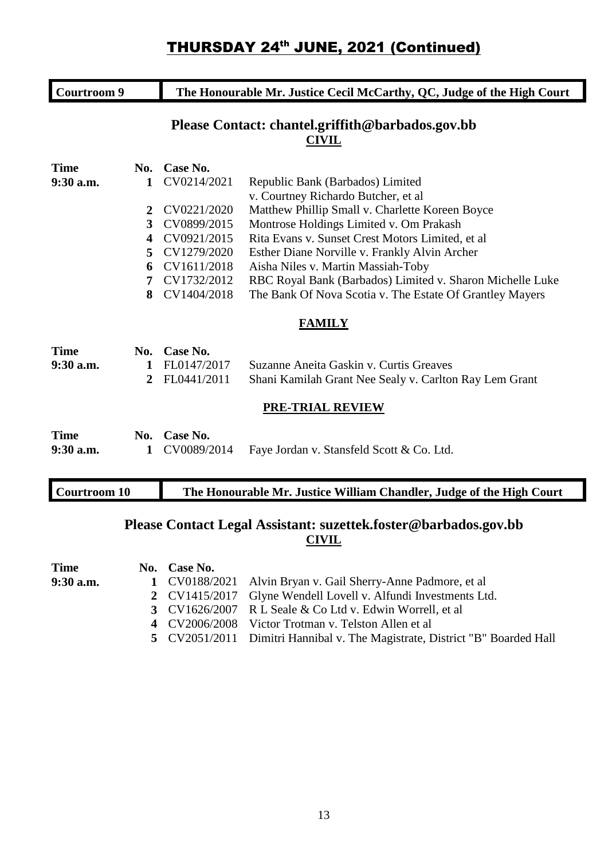| <b>Courtroom 9</b> |                         | The Honourable Mr. Justice Cecil McCarthy, QC, Judge of the High Court |                                                                  |  |
|--------------------|-------------------------|------------------------------------------------------------------------|------------------------------------------------------------------|--|
|                    |                         |                                                                        | Please Contact: chantel.griffith@barbados.gov.bb<br><b>CIVIL</b> |  |
| <b>Time</b>        | No.                     | Case No.                                                               |                                                                  |  |
| 9:30 a.m.          | 1                       | CV0214/2021                                                            | Republic Bank (Barbados) Limited                                 |  |
|                    |                         |                                                                        | v. Courtney Richardo Butcher, et al.                             |  |
|                    | $\mathbf{2}$            | CV0221/2020                                                            | Matthew Phillip Small v. Charlette Koreen Boyce                  |  |
|                    | 3                       | CV0899/2015                                                            | Montrose Holdings Limited v. Om Prakash                          |  |
|                    | $\overline{\mathbf{4}}$ | CV0921/2015                                                            | Rita Evans v. Sunset Crest Motors Limited, et al.                |  |
|                    | 5.                      | CV1279/2020                                                            | Esther Diane Norville v. Frankly Alvin Archer                    |  |
|                    | 6                       | CV1611/2018                                                            | Aisha Niles v. Martin Massiah-Toby                               |  |
|                    | 7                       | CV1732/2012                                                            | RBC Royal Bank (Barbados) Limited v. Sharon Michelle Luke        |  |
|                    | 8                       | CV1404/2018                                                            | The Bank Of Nova Scotia v. The Estate Of Grantley Mayers         |  |
|                    |                         |                                                                        | <b>FAMILY</b>                                                    |  |
| <b>Time</b>        | No.                     | Case No.                                                               |                                                                  |  |
| $9:30$ a.m.        | 1                       | FL0147/2017                                                            | Suzanne Aneita Gaskin v. Curtis Greaves                          |  |
|                    | 2                       | FL0441/2011                                                            | Shani Kamilah Grant Nee Sealy v. Carlton Ray Lem Grant           |  |

#### **PRE-TRIAL REVIEW**

| <b>Time</b> | No. Case No. |                                                         |
|-------------|--------------|---------------------------------------------------------|
| $9:30$ a.m. |              | 1 CV0089/2014 Faye Jordan v. Stansfeld Scott & Co. Ltd. |

## **Please Contact Legal Assistant: suzettek.foster@barbados.gov.bb CIVIL**

| Time      | No. Case No. |                                                                             |
|-----------|--------------|-----------------------------------------------------------------------------|
| 9:30 a.m. |              | 1 CV0188/2021 Alvin Bryan v. Gail Sherry-Anne Padmore, et al                |
|           |              | 2 CV1415/2017 Glyne Wendell Lovell v. Alfundi Investments Ltd.              |
|           |              | 3 CV1626/2007 R L Seale & Co Ltd v. Edwin Worrell, et al                    |
|           |              | 4 CV2006/2008 Victor Trotman v. Telston Allen et al                         |
|           |              | 5 CV2051/2011 Dimitri Hannibal v. The Magistrate, District "B" Boarded Hall |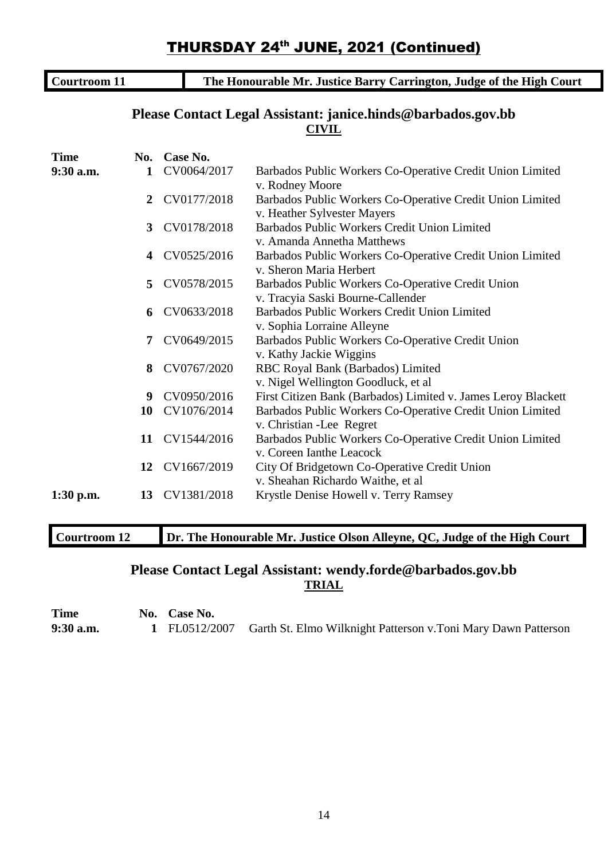| <b>Courtroom 11</b> |                  |                | The Honourable Mr. Justice Barry Carrington, Judge of the High Court                     |
|---------------------|------------------|----------------|------------------------------------------------------------------------------------------|
|                     |                  |                | Please Contact Legal Assistant: janice.hinds@barbados.gov.bb<br><b>CIVIL</b>             |
| <b>Time</b>         | No.              | Case No.       |                                                                                          |
| 9:30 a.m.           | $\mathbf{1}$     | CV0064/2017    | Barbados Public Workers Co-Operative Credit Union Limited<br>v. Rodney Moore             |
|                     | $\boldsymbol{2}$ | CV0177/2018    | Barbados Public Workers Co-Operative Credit Union Limited<br>v. Heather Sylvester Mayers |
|                     | 3                | CV0178/2018    | Barbados Public Workers Credit Union Limited<br>v. Amanda Annetha Matthews               |
|                     | 4                | CV0525/2016    | Barbados Public Workers Co-Operative Credit Union Limited<br>v. Sheron Maria Herbert     |
|                     | 5                | CV0578/2015    | Barbados Public Workers Co-Operative Credit Union<br>v. Tracyia Saski Bourne-Callender   |
|                     | 6                | CV0633/2018    | Barbados Public Workers Credit Union Limited<br>v. Sophia Lorraine Alleyne               |
|                     | $\overline{7}$   | CV0649/2015    | Barbados Public Workers Co-Operative Credit Union<br>v. Kathy Jackie Wiggins             |
|                     | 8                | CV0767/2020    | RBC Royal Bank (Barbados) Limited<br>v. Nigel Wellington Goodluck, et al                 |
|                     | 9                | CV0950/2016    | First Citizen Bank (Barbados) Limited v. James Leroy Blackett                            |
|                     | 10               | CV1076/2014    | Barbados Public Workers Co-Operative Credit Union Limited<br>v. Christian - Lee Regret   |
|                     | 11               | CV1544/2016    | Barbados Public Workers Co-Operative Credit Union Limited<br>v. Coreen Ianthe Leacock    |
|                     | 12               | CV1667/2019    | City Of Bridgetown Co-Operative Credit Union<br>v. Sheahan Richardo Waithe, et al        |
| $1:30$ p.m.         |                  | 13 CV1381/2018 | Krystle Denise Howell v. Terry Ramsey                                                    |

## **Courtroom 12 Dr. The Honourable Mr. Justice Olson Alleyne, QC, Judge of the High Court**

## **Please Contact Legal Assistant: wendy.forde@barbados.gov.bb TRIAL**

**Time No. Case No. 9:30 a.m. 1** FL0512/2007 Garth St. Elmo Wilknight Patterson v.Toni Mary Dawn Patterson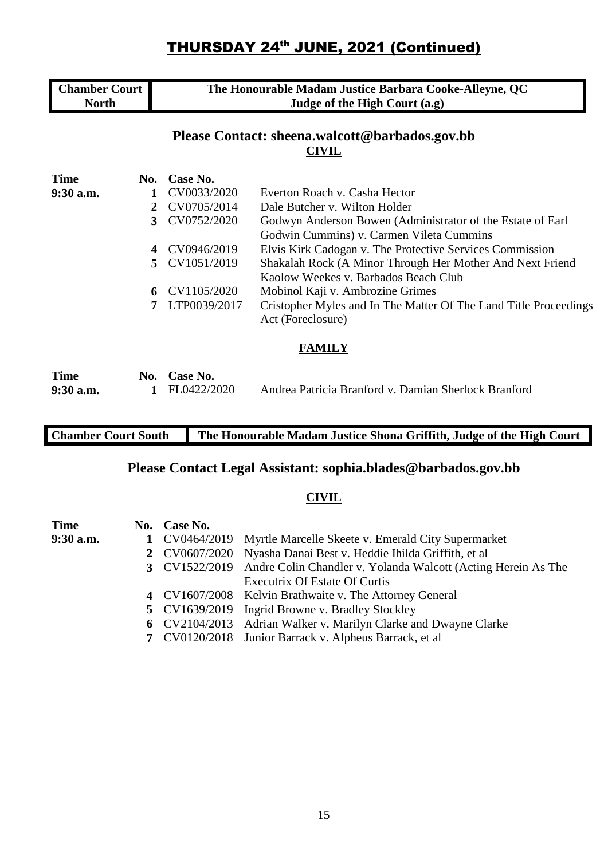| <b>Chamber Court</b> | The Honourable Madam Justice Barbara Cooke-Alleyne, QC |
|----------------------|--------------------------------------------------------|
| <b>North</b>         | Judge of the High Court (a.g)                          |

### **Please Contact: sheena.walcott@barbados.gov.bb CIVIL**

| <b>Time</b> | No. | Case No.                  |                                                                  |
|-------------|-----|---------------------------|------------------------------------------------------------------|
| $9:30$ a.m. |     | CV0033/2020               | Everton Roach v. Casha Hector                                    |
|             | 2   | CV0705/2014               | Dale Butcher v. Wilton Holder                                    |
|             | 3   | CV0752/2020               | Godwyn Anderson Bowen (Administrator of the Estate of Earl       |
|             |     |                           | Godwin Cummins) v. Carmen Vileta Cummins                         |
|             | 4   | CV0946/2019               | Elvis Kirk Cadogan v. The Protective Services Commission         |
|             |     | 5 CV1051/2019             | Shakalah Rock (A Minor Through Her Mother And Next Friend        |
|             |     |                           | Kaolow Weekes v. Barbados Beach Club                             |
|             | 6   | CV1105/2020               | Mobinol Kaji v. Ambrozine Grimes                                 |
|             |     | LTP0039/2017              | Cristopher Myles and In The Matter Of The Land Title Proceedings |
|             |     |                           | Act (Foreclosure)                                                |
|             |     |                           | <b>FAMILY</b>                                                    |
| m.          |     | $\mathbf{M}$ $\mathbf{M}$ |                                                                  |

| <b>Time</b> | No. Case No.  |                                                      |
|-------------|---------------|------------------------------------------------------|
| $9:30$ a.m. | 1 FL0422/2020 | Andrea Patricia Branford v. Damian Sherlock Branford |

## **Chamber Court South The Honourable Madam Justice Shona Griffith, Judge of the High Court**

## **Please Contact Legal Assistant: sophia.blades@barbados.gov.bb**

#### **CIVIL**

| Time      | No. Case No. |                                                                             |
|-----------|--------------|-----------------------------------------------------------------------------|
| 9:30 a.m. |              | 1 CV0464/2019 Myrtle Marcelle Skeete v. Emerald City Supermarket            |
|           |              | 2 CV0607/2020 Nyasha Danai Best v. Heddie Ihilda Griffith, et al            |
|           |              | 3 CV1522/2019 Andre Colin Chandler v. Yolanda Walcott (Acting Herein As The |
|           |              | Executrix Of Estate Of Curtis                                               |
|           |              | 4 CV1607/2008 Kelvin Brathwaite v. The Attorney General                     |
|           |              | 5 CV1639/2019 Ingrid Browne v. Bradley Stockley                             |
|           |              | 6 CV2104/2013 Adrian Walker v. Marilyn Clarke and Dwayne Clarke             |
|           |              | 7 CV0120/2018 Junior Barrack v. Alpheus Barrack, et al                      |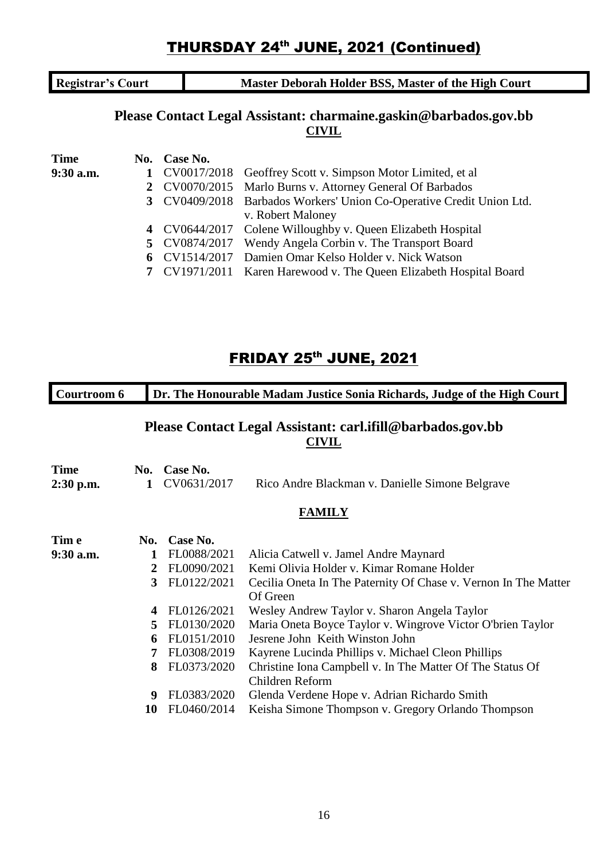**Registrar's Court Master Deborah Holder BSS, Master of the High Court** 

### **Please Contact Legal Assistant: charmaine.gaskin@barbados.gov.bb CIVIL**

| Time        | No. Case No.  |                                                                      |
|-------------|---------------|----------------------------------------------------------------------|
| $9:30$ a.m. |               | 1 CV0017/2018 Geoffrey Scott v. Simpson Motor Limited, et al         |
|             |               | 2 CV0070/2015 Marlo Burns v. Attorney General Of Barbados            |
|             |               | 3 CV0409/2018 Barbados Workers' Union Co-Operative Credit Union Ltd. |
|             |               | v. Robert Maloney                                                    |
|             |               | 4 CV0644/2017 Colene Willoughby v. Queen Elizabeth Hospital          |
|             | 5 CV0874/2017 | Wendy Angela Corbin v. The Transport Board                           |
|             | 6 CV1514/2017 | Damien Omar Kelso Holder v. Nick Watson                              |
|             |               | 7 CV1971/2011 Karen Harewood v. The Queen Elizabeth Hospital Board   |

## **FRIDAY 25<sup>th</sup> JUNE, 2021**

| Courtroom 6                |                         |                         | Dr. The Honourable Madam Justice Sonia Richards, Judge of the High Court |
|----------------------------|-------------------------|-------------------------|--------------------------------------------------------------------------|
|                            |                         |                         | Please Contact Legal Assistant: carl.ifill@barbados.gov.bb<br>CIVIL      |
| <b>Time</b><br>$2:30$ p.m. | No.<br>1                | Case No.<br>CV0631/2017 | Rico Andre Blackman v. Danielle Simone Belgrave                          |
|                            |                         |                         | <b>FAMILY</b>                                                            |
| Tim e                      | No.                     | Case No.                |                                                                          |
| $9:30$ a.m.                | 1                       | FL0088/2021             | Alicia Catwell v. Jamel Andre Maynard                                    |
|                            | 2                       | FL0090/2021             | Kemi Olivia Holder v. Kimar Romane Holder                                |
|                            | 3                       | FL0122/2021             | Cecilia Oneta In The Paternity Of Chase v. Vernon In The Matter          |
|                            |                         |                         | Of Green                                                                 |
|                            | $\overline{\mathbf{4}}$ | FL0126/2021             | Wesley Andrew Taylor v. Sharon Angela Taylor                             |
|                            | 5                       | FL0130/2020             | Maria Oneta Boyce Taylor v. Wingrove Victor O'brien Taylor               |
|                            | 6                       | FL0151/2010             | Jesrene John Keith Winston John                                          |
|                            | 7                       | FL0308/2019             | Kayrene Lucinda Phillips v. Michael Cleon Phillips                       |
|                            | 8                       | FL0373/2020             | Christine Iona Campbell v. In The Matter Of The Status Of                |
|                            |                         |                         | Children Reform                                                          |
|                            | 9                       | FL0383/2020             | Glenda Verdene Hope v. Adrian Richardo Smith                             |
|                            | 10                      | FL0460/2014             | Keisha Simone Thompson v. Gregory Orlando Thompson                       |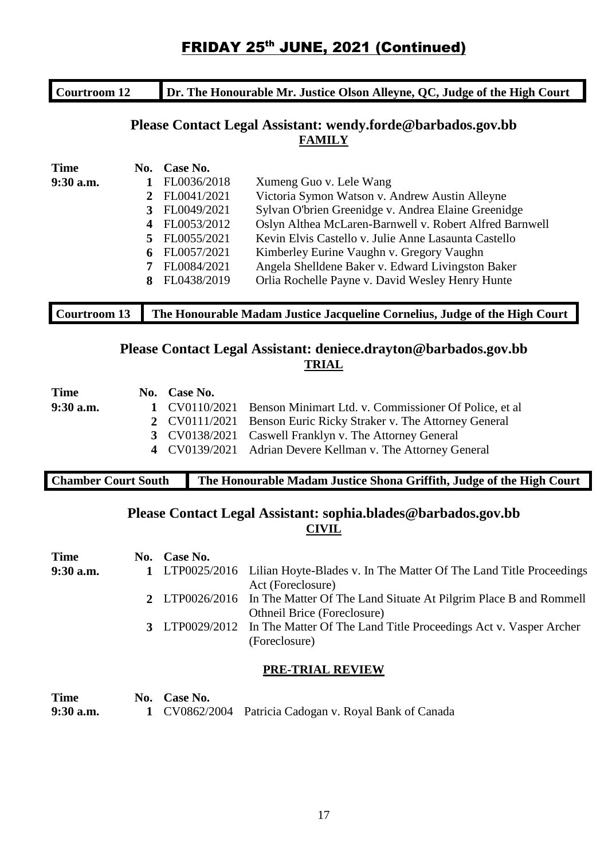| Courtroom 12 | Dr. The Honourable Mr. Justice Olson Alleyne, QC, Judge of the High Court |
|--------------|---------------------------------------------------------------------------|
|              |                                                                           |

#### **Please Contact Legal Assistant: wendy.forde@barbados.gov.bb FAMILY**

| <b>Time</b> | No.          | Case No.    |                                                         |
|-------------|--------------|-------------|---------------------------------------------------------|
| $9:30$ a.m. |              | FL0036/2018 | Xumeng Guo v. Lele Wang                                 |
|             | $\mathbf{2}$ | FL0041/2021 | Victoria Symon Watson v. Andrew Austin Alleyne          |
|             | 3            | FL0049/2021 | Sylvan O'brien Greenidge v. Andrea Elaine Greenidge     |
|             | 4            | FL0053/2012 | Oslyn Althea McLaren-Barnwell v. Robert Alfred Barnwell |
|             | 5            | FL0055/2021 | Kevin Elvis Castello v. Julie Anne Lasaunta Castello    |
|             | 6            | FL0057/2021 | Kimberley Eurine Vaughn v. Gregory Vaughn               |
|             | 7            | FL0084/2021 | Angela Shelldene Baker v. Edward Livingston Baker       |
|             | 8            | FL0438/2019 | Orlia Rochelle Payne v. David Wesley Henry Hunte        |
|             |              |             |                                                         |

### **Courtroom 13 The Honourable Madam Justice Jacqueline Cornelius, Judge of the High Court**

### **Please Contact Legal Assistant: deniece.drayton@barbados.gov.bb TRIAL**

| <b>Time</b> | No. Case No. |                                                                      |
|-------------|--------------|----------------------------------------------------------------------|
| $9:30$ a.m. |              | 1 CV0110/2021 Benson Minimart Ltd. v. Commissioner Of Police, et al. |
|             |              | 2 CV0111/2021 Benson Euric Ricky Straker v. The Attorney General     |
|             |              | 3 CV0138/2021 Caswell Franklyn v. The Attorney General               |
|             |              | 4 CV0139/2021 Adrian Devere Kellman v. The Attorney General          |
|             |              |                                                                      |

### **Chamber Court South The Honourable Madam Justice Shona Griffith, Judge of the High Court**

### **Please Contact Legal Assistant: sophia.blades@barbados.gov.bb CIVIL**

| <b>Time</b> | No. Case No. |                                                                                                                       |
|-------------|--------------|-----------------------------------------------------------------------------------------------------------------------|
| $9:30$ a.m. |              | 1 LTP0025/2016 Lilian Hoyte-Blades v. In The Matter Of The Land Title Proceedings<br>Act (Foreclosure)                |
|             |              | 2 LTP0026/2016 In The Matter Of The Land Situate At Pilgrim Place B and Rommell<br><b>Othneil Brice (Foreclosure)</b> |
|             |              | 3 LTP0029/2012 In The Matter Of The Land Title Proceedings Act v. Vasper Archer<br>(Foreclosure)                      |
|             |              | <b>PRE-TRIAL REVIEW</b>                                                                                               |
| Time        | No. Case No. |                                                                                                                       |
| $9:30$ a.m. |              | CV0862/2004 Patricia Cadogan v. Royal Bank of Canada                                                                  |